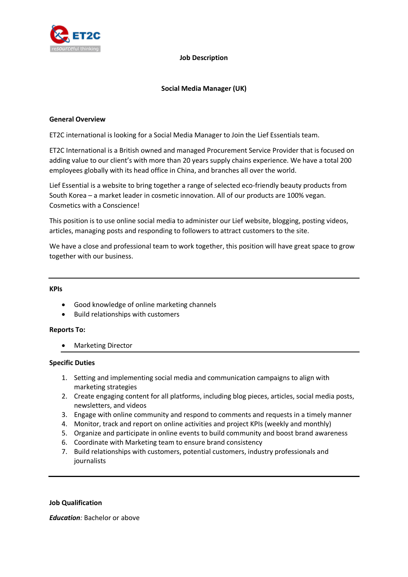

#### **Job Description**

# **Social Media Manager (UK)**

#### **General Overview**

ET2C international is looking for a Social Media Manager to Join the Lief Essentials team.

ET2C International is a British owned and managed Procurement Service Provider that is focused on adding value to our client's with more than 20 years supply chains experience. We have a total 200 employees globally with its head office in China, and branches all over the world.

Lief Essential is a website to bring together a range of selected eco-friendly beauty products from South Korea – a market leader in cosmetic innovation. All of our products are 100% vegan. Cosmetics with a Conscience!

This position is to use online social media to administer our Lief website, blogging, posting videos, articles, managing posts and responding to followers to attract customers to the site.

We have a close and professional team to work together, this position will have great space to grow together with our business.

#### **KPIs**

- Good knowledge of online marketing channels
- Build relationships with customers

# **Reports To:**

Marketing Director

# **Specific Duties**

- 1. Setting and implementing social media and communication campaigns to align with marketing strategies
- 2. Create engaging content for all platforms, including blog pieces, articles, social media posts, newsletters, and videos
- 3. Engage with online community and respond to comments and requests in a timely manner
- 4. Monitor, track and report on online activities and project KPIs (weekly and monthly)
- 5. Organize and participate in online events to build community and boost brand awareness
- 6. Coordinate with Marketing team to ensure brand consistency
- 7. Build relationships with customers, potential customers, industry professionals and journalists

# **Job Qualification**

*Education:* Bachelor or above